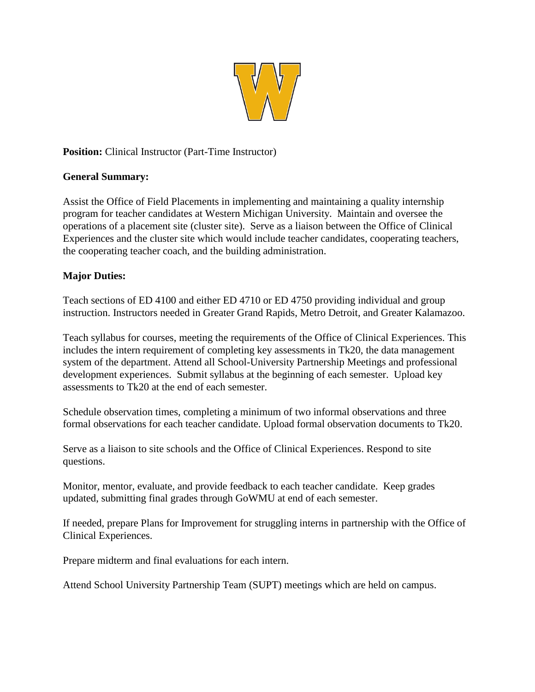

## **Position:** Clinical Instructor (Part-Time Instructor)

## **General Summary:**

Assist the Office of Field Placements in implementing and maintaining a quality internship program for teacher candidates at Western Michigan University. Maintain and oversee the operations of a placement site (cluster site). Serve as a liaison between the Office of Clinical Experiences and the cluster site which would include teacher candidates, cooperating teachers, the cooperating teacher coach, and the building administration.

## **Major Duties:**

Teach sections of ED 4100 and either ED 4710 or ED 4750 providing individual and group instruction. Instructors needed in Greater Grand Rapids, Metro Detroit, and Greater Kalamazoo.

Teach syllabus for courses, meeting the requirements of the Office of Clinical Experiences. This includes the intern requirement of completing key assessments in Tk20, the data management system of the department. Attend all School-University Partnership Meetings and professional development experiences. Submit syllabus at the beginning of each semester. Upload key assessments to Tk20 at the end of each semester.

Schedule observation times, completing a minimum of two informal observations and three formal observations for each teacher candidate. Upload formal observation documents to Tk20.

Serve as a liaison to site schools and the Office of Clinical Experiences. Respond to site questions.

Monitor, mentor, evaluate, and provide feedback to each teacher candidate. Keep grades updated, submitting final grades through GoWMU at end of each semester.

If needed, prepare Plans for Improvement for struggling interns in partnership with the Office of Clinical Experiences.

Prepare midterm and final evaluations for each intern.

Attend School University Partnership Team (SUPT) meetings which are held on campus.